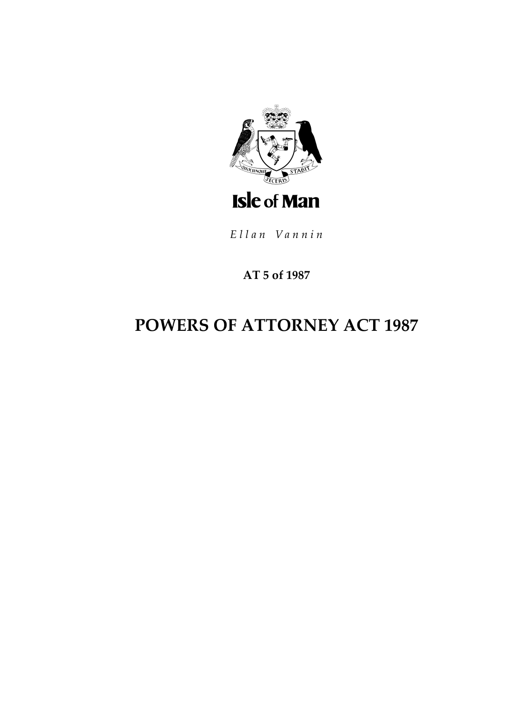

Ellan Vannin

# **AT 5 of 1987**

# **POWERS OF ATTORNEY ACT 1987**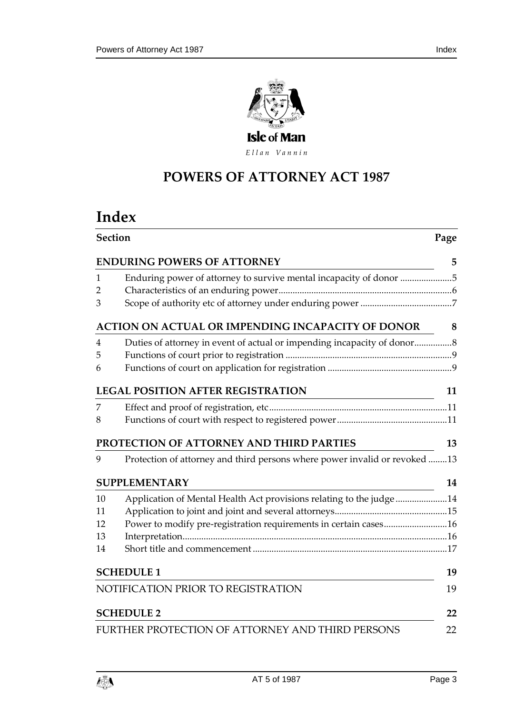

Ellan Vannin

# **POWERS OF ATTORNEY A CT 1987**

# **Index**

| <b>Section</b>                           |                                                                            |    |  |  |
|------------------------------------------|----------------------------------------------------------------------------|----|--|--|
|                                          | <b>ENDURING POWERS OF ATTORNEY</b>                                         | 5  |  |  |
| 1                                        | Enduring power of attorney to survive mental incapacity of donor 5         |    |  |  |
| 2                                        |                                                                            |    |  |  |
| 3                                        |                                                                            |    |  |  |
|                                          | ACTION ON ACTUAL OR IMPENDING INCAPACITY OF DONOR                          | 8  |  |  |
| 4                                        |                                                                            |    |  |  |
| 5                                        |                                                                            |    |  |  |
| 6                                        |                                                                            |    |  |  |
| <b>LEGAL POSITION AFTER REGISTRATION</b> |                                                                            |    |  |  |
| 7                                        |                                                                            |    |  |  |
| 8                                        |                                                                            |    |  |  |
|                                          | PROTECTION OF ATTORNEY AND THIRD PARTIES                                   | 13 |  |  |
| 9                                        | Protection of attorney and third persons where power invalid or revoked 13 |    |  |  |
|                                          | <b>SUPPLEMENTARY</b>                                                       | 14 |  |  |
| 10                                       | Application of Mental Health Act provisions relating to the judge14        |    |  |  |
| 11                                       |                                                                            |    |  |  |
| 12                                       | Power to modify pre-registration requirements in certain cases16           |    |  |  |
| 13                                       |                                                                            |    |  |  |
| 14                                       |                                                                            |    |  |  |
|                                          | <b>SCHEDULE 1</b>                                                          | 19 |  |  |
| NOTIFICATION PRIOR TO REGISTRATION<br>19 |                                                                            |    |  |  |
| <b>SCHEDULE 2</b><br>22                  |                                                                            |    |  |  |
|                                          | FURTHER PROTECTION OF ATTORNEY AND THIRD PERSONS                           | 22 |  |  |

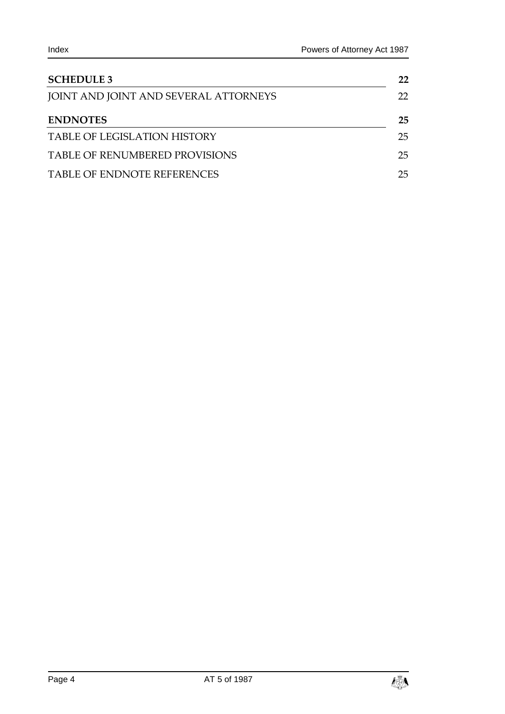| <b>SCHEDULE 3</b>                     | 22  |
|---------------------------------------|-----|
| JOINT AND JOINT AND SEVERAL ATTORNEYS | 22. |
| <b>ENDNOTES</b>                       | 25  |
| <b>TABLE OF LEGISLATION HISTORY</b>   | 25. |
| TABLE OF RENUMBERED PROVISIONS        | 25. |
| <b>TABLE OF ENDNOTE REFERENCES</b>    | 25  |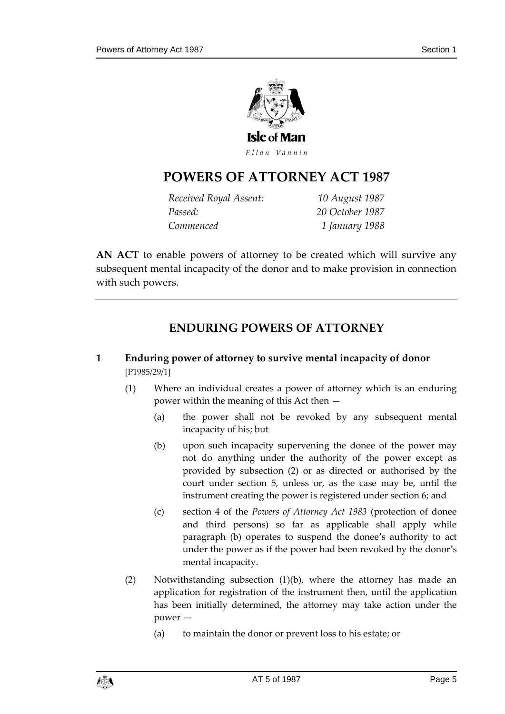

# **POWERS OF ATTORNEY A CT 1987**

*Received Royal Assent: 10 August 1987 Passed: 20 October 1987 Commenced 1 January 1988*

**AN ACT** to enable powers of attorney to be created which will survive any subsequent mental incapacity of the donor and to make provision in connection with such powers.

# **ENDURING POWERS OF ATTORNEY**

- <span id="page-4-1"></span><span id="page-4-0"></span>**1 Enduring power of attorney to survive mental incapacity of donor** [P1985/29/1]
	- (1) Where an individual creates a power of attorney which is an enduring power within the meaning of this Act then —
		- (a) the power shall not be revoked by any subsequent mental incapacity of his; but
		- (b) upon such incapacity supervening the donee of the power may not do anything under the authority of the power except as provided by subsection (2) or as directed or authorised by the court under section 5, unless or, as the case may be, until the instrument creating the power is registered under section 6; and
		- (c) section 4 of the *Powers of Attorney Act 1983* (protection of donee and third persons) so far as applicable shall apply while paragraph (b) operates to suspend the donee's authority to act under the power as if the power had been revoked by the donor's mental incapacity.
	- (2) Notwithstanding subsection (1)(b), where the attorney has made an application for registration of the instrument then, until the application has been initially determined, the attorney may take action under the power —
		- (a) to maintain the donor or prevent loss to his estate; or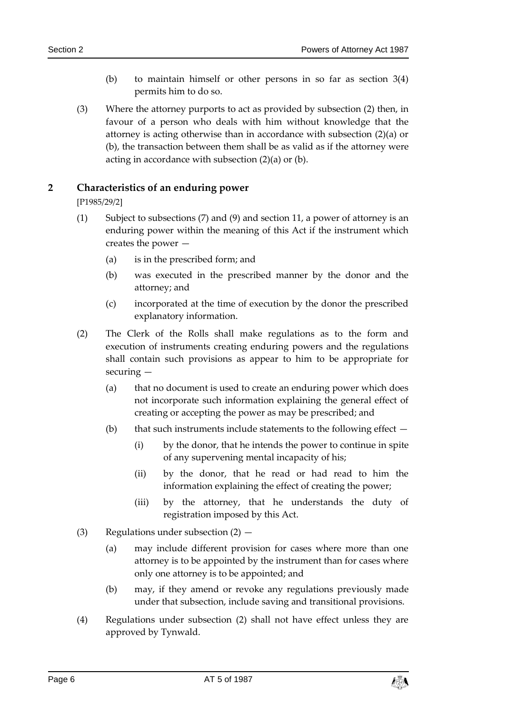- (b) to maintain himself or other persons in so far as section 3(4) permits him to do so.
- (3) Where the attorney purports to act as provided by subsection (2) then, in favour of a person who deals with him without knowledge that the attorney is acting otherwise than in accordance with subsection (2)(a) or (b), the transaction between them shall be as valid as if the attorney were acting in accordance with subsection (2)(a) or (b).

#### <span id="page-5-0"></span>**2 Characteristics of an enduring power**

[P1985/29/2]

- (1) Subject to subsections (7) and (9) and section 11, a power of attorney is an enduring power within the meaning of this Act if the instrument which creates the power —
	- (a) is in the prescribed form; and
	- (b) was executed in the prescribed manner by the donor and the attorney; and
	- (c) incorporated at the time of execution by the donor the prescribed explanatory information.
- (2) The Clerk of the Rolls shall make regulations as to the form and execution of instruments creating enduring powers and the regulations shall contain such provisions as appear to him to be appropriate for securing —
	- (a) that no document is used to create an enduring power which does not incorporate such information explaining the general effect of creating or accepting the power as may be prescribed; and
	- (b) that such instruments include statements to the following effect  $-$ 
		- (i) by the donor, that he intends the power to continue in spite of any supervening mental incapacity of his;
		- (ii) by the donor, that he read or had read to him the information explaining the effect of creating the power;
		- (iii) by the attorney, that he understands the duty of registration imposed by this Act.
- (3) Regulations under subsection  $(2)$ 
	- (a) may include different provision for cases where more than one attorney is to be appointed by the instrument than for cases where only one attorney is to be appointed; and
	- (b) may, if they amend or revoke any regulations previously made under that subsection, include saving and transitional provisions.
- (4) Regulations under subsection (2) shall not have effect unless they are approved by Tynwald.

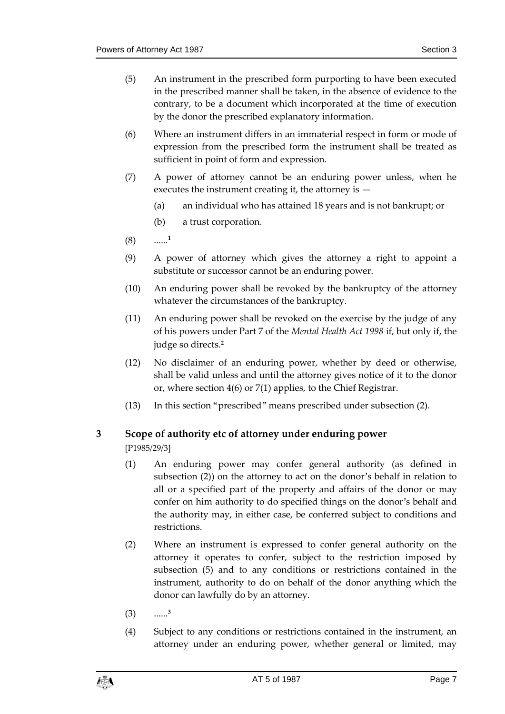- (5) An instrument in the prescribed form purporting to have been executed in the prescribed manner shall be taken, in the absence of evidence to the contrary, to be a document which incorporated at the time of execution by the donor the prescribed explanatory information.
- (6) Where an instrument differs in an immaterial respect in form or mode of expression from the prescribed form the instrument shall be treated as sufficient in point of form and expression.
- (7) A power of attorney cannot be an enduring power unless, when he executes the instrument creating it, the attorney is —
	- (a) an individual who has attained 18 years and is not bankrupt; or
	- (b) a trust corporation.
- $(8)$ **1**
- (9) A power of attorney which gives the attorney a right to appoint a substitute or successor cannot be an enduring power.
- (10) An enduring power shall be revoked by the bankruptcy of the attorney whatever the circumstances of the bankruptcy.
- (11) An enduring power shall be revoked on the exercise by the judge of any of his powers under Part 7 of the *Mental Health Act 1998* if, but only if, the judge so directs.**<sup>2</sup>**
- (12) No disclaimer of an enduring power, whether by deed or otherwise, shall be valid unless and until the attorney gives notice of it to the donor or, where section 4(6) or 7(1) applies, to the Chief Registrar.
- (13) In this section "prescribed" means prescribed under subsection (2).

#### <span id="page-6-0"></span>**3 Scope of authority etc of attorney under enduring power**

[P1985/29/3]

- (1) An enduring power may confer general authority (as defined in subsection (2)) on the attorney to act on the donor's behalf in relation to all or a specified part of the property and affairs of the donor or may confer on him authority to do specified things on the donor's behalf and the authority may, in either case, be conferred subject to conditions and restrictions.
- (2) Where an instrument is expressed to confer general authority on the attorney it operates to confer, subject to the restriction imposed by subsection (5) and to any conditions or restrictions contained in the instrument, authority to do on behalf of the donor anything which the donor can lawfully do by an attorney.
- (3) ...... **3**
- (4) Subject to any conditions or restrictions contained in the instrument, an attorney under an enduring power, whether general or limited, may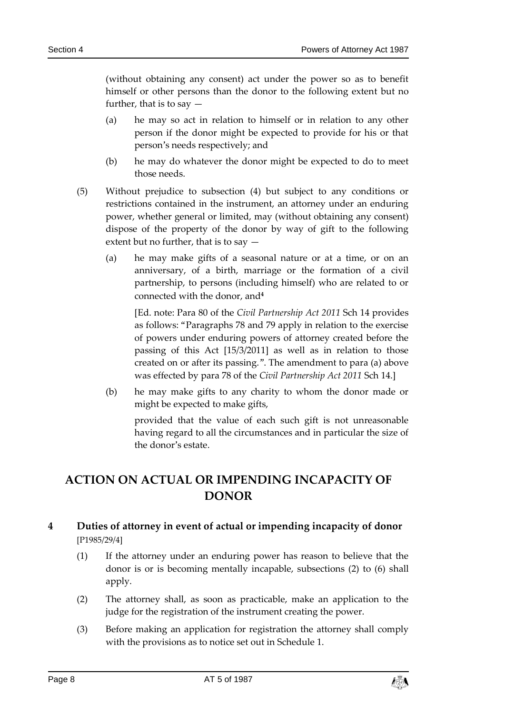(without obtaining any consent) act under the power so as to benefit himself or other persons than the donor to the following extent but no further, that is to say —

- (a) he may so act in relation to himself or in relation to any other person if the donor might be expected to provide for his or that person's needs respectively; and
- (b) he may do whatever the donor might be expected to do to meet those needs.
- (5) Without prejudice to subsection (4) but subject to any conditions or restrictions contained in the instrument, an attorney under an enduring power, whether general or limited, may (without obtaining any consent) dispose of the property of the donor by way of gift to the following extent but no further, that is to say —
	- (a) he may make gifts of a seasonal nature or at a time, or on an anniversary, of a birth, marriage or the formation of a civil partnership, to persons (including himself) who are related to or connected with the donor, and**<sup>4</sup>**

[Ed. note: Para 80 of the *Civil Partnership Act 2011* Sch 14 provides as follows: "Paragraphs 78 and 79 apply in relation to the exercise of powers under enduring powers of attorney created before the passing of this Act [15/3/2011] as well as in relation to those created on or after its passing.". The amendment to para (a) above was effected by para 78 of the *Civil Partnership Act 2011* Sch 14.]

(b) he may make gifts to any charity to whom the donor made or might be expected to make gifts,

provided that the value of each such gift is not unreasonable having regard to all the circumstances and in particular the size of the donor's estate.

# <span id="page-7-0"></span>**ACTION ON ACTUAL OR IMPENDING INCAPACITY OF DONOR**

#### <span id="page-7-1"></span>**4 Duties of attorney in event of actual or impending incapacity of donor** [P1985/29/4]

- (1) If the attorney under an enduring power has reason to believe that the donor is or is becoming mentally incapable, subsections (2) to (6) shall apply.
- (2) The attorney shall, as soon as practicable, make an application to the judge for the registration of the instrument creating the power.
- (3) Before making an application for registration the attorney shall comply with the provisions as to notice set out in Schedule 1.

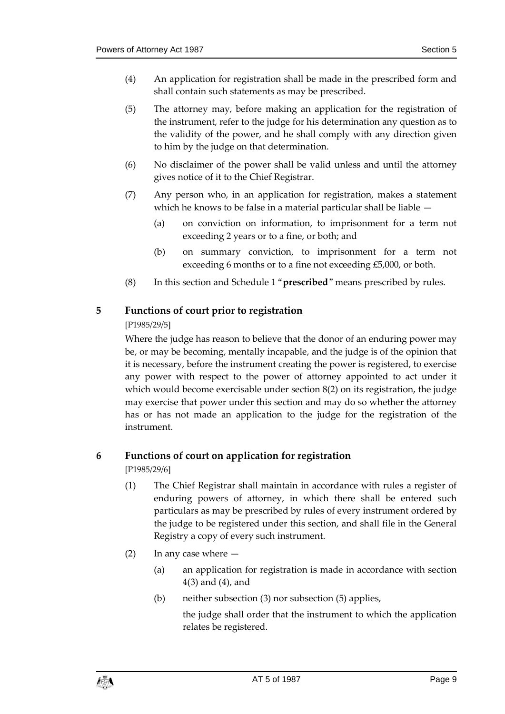- (4) An application for registration shall be made in the prescribed form and shall contain such statements as may be prescribed.
- (5) The attorney may, before making an application for the registration of the instrument, refer to the judge for his determination any question as to the validity of the power, and he shall comply with any direction given to him by the judge on that determination.
- (6) No disclaimer of the power shall be valid unless and until the attorney gives notice of it to the Chief Registrar.
- (7) Any person who, in an application for registration, makes a statement which he knows to be false in a material particular shall be liable —
	- (a) on conviction on information, to imprisonment for a term not exceeding 2 years or to a fine, or both; and
	- (b) on summary conviction, to imprisonment for a term not exceeding 6 months or to a fine not exceeding £5,000, or both.
- (8) In this section and Schedule 1 "**prescribed**" means prescribed by rules.

#### <span id="page-8-0"></span>**5 Functions of court prior to registration**

#### [P1985/29/5]

Where the judge has reason to believe that the donor of an enduring power may be, or may be becoming, mentally incapable, and the judge is of the opinion that it is necessary, before the instrument creating the power is registered, to exercise any power with respect to the power of attorney appointed to act under it which would become exercisable under section 8(2) on its registration, the judge may exercise that power under this section and may do so whether the attorney has or has not made an application to the judge for the registration of the instrument.

#### <span id="page-8-1"></span>**6 Functions of court on application for registration**

[P1985/29/6]

- (1) The Chief Registrar shall maintain in accordance with rules a register of enduring powers of attorney, in which there shall be entered such particulars as may be prescribed by rules of every instrument ordered by the judge to be registered under this section, and shall file in the General Registry a copy of every such instrument.
- (2) In any case where
	- (a) an application for registration is made in accordance with section 4(3) and (4), and
	- (b) neither subsection (3) nor subsection (5) applies,

the judge shall order that the instrument to which the application relates be registered.

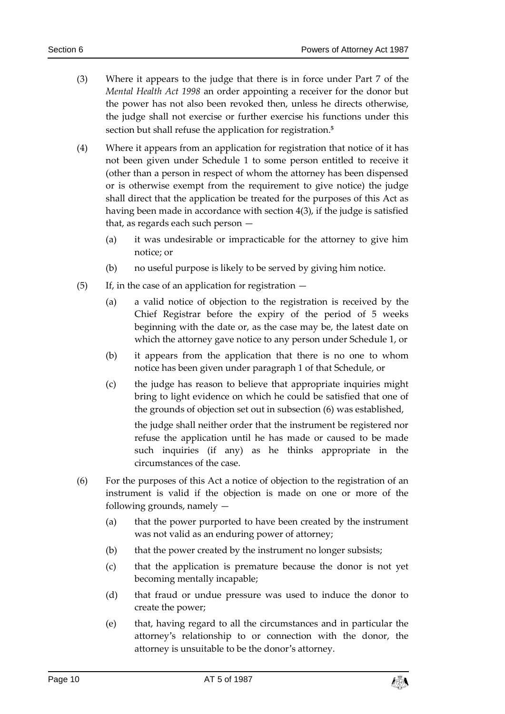- (3) Where it appears to the judge that there is in force under Part 7 of the *Mental Health Act 1998* an order appointing a receiver for the donor but the power has not also been revoked then, unless he directs otherwise, the judge shall not exercise or further exercise his functions under this section but shall refuse the application for registration.**<sup>5</sup>**
- (4) Where it appears from an application for registration that notice of it has not been given under Schedule 1 to some person entitled to receive it (other than a person in respect of whom the attorney has been dispensed or is otherwise exempt from the requirement to give notice) the judge shall direct that the application be treated for the purposes of this Act as having been made in accordance with section 4(3), if the judge is satisfied that, as regards each such person —
	- (a) it was undesirable or impracticable for the attorney to give him notice; or
	- (b) no useful purpose is likely to be served by giving him notice.
- (5) If, in the case of an application for registration  $-$ 
	- (a) a valid notice of objection to the registration is received by the Chief Registrar before the expiry of the period of 5 weeks beginning with the date or, as the case may be, the latest date on which the attorney gave notice to any person under Schedule 1, or
	- (b) it appears from the application that there is no one to whom notice has been given under paragraph 1 of that Schedule, or
	- (c) the judge has reason to believe that appropriate inquiries might bring to light evidence on which he could be satisfied that one of the grounds of objection set out in subsection (6) was established,

the judge shall neither order that the instrument be registered nor refuse the application until he has made or caused to be made such inquiries (if any) as he thinks appropriate in the circumstances of the case.

- (6) For the purposes of this Act a notice of objection to the registration of an instrument is valid if the objection is made on one or more of the following grounds, namely —
	- (a) that the power purported to have been created by the instrument was not valid as an enduring power of attorney;
	- (b) that the power created by the instrument no longer subsists;
	- (c) that the application is premature because the donor is not yet becoming mentally incapable;
	- (d) that fraud or undue pressure was used to induce the donor to create the power;
	- (e) that, having regard to all the circumstances and in particular the attorney's relationship to or connection with the donor, the attorney is unsuitable to be the donor's attorney.

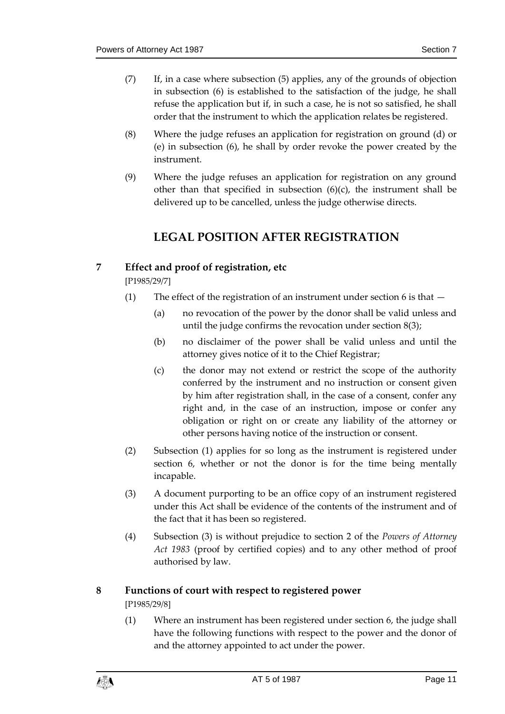- (7) If, in a case where subsection (5) applies, any of the grounds of objection in subsection (6) is established to the satisfaction of the judge, he shall refuse the application but if, in such a case, he is not so satisfied, he shall order that the instrument to which the application relates be registered.
- (8) Where the judge refuses an application for registration on ground (d) or (e) in subsection (6), he shall by order revoke the power created by the instrument.
- <span id="page-10-0"></span>(9) Where the judge refuses an application for registration on any ground other than that specified in subsection  $(6)(c)$ , the instrument shall be delivered up to be cancelled, unless the judge otherwise directs.

# **LEGAL POSITION AFTER REGISTRATION**

#### <span id="page-10-1"></span>**7 Effect and proof of registration, etc**

[P1985/29/7]

- (1) The effect of the registration of an instrument under section 6 is that  $-$ 
	- (a) no revocation of the power by the donor shall be valid unless and until the judge confirms the revocation under section 8(3);
	- (b) no disclaimer of the power shall be valid unless and until the attorney gives notice of it to the Chief Registrar;
	- (c) the donor may not extend or restrict the scope of the authority conferred by the instrument and no instruction or consent given by him after registration shall, in the case of a consent, confer any right and, in the case of an instruction, impose or confer any obligation or right on or create any liability of the attorney or other persons having notice of the instruction or consent.
- (2) Subsection (1) applies for so long as the instrument is registered under section 6, whether or not the donor is for the time being mentally incapable.
- (3) A document purporting to be an office copy of an instrument registered under this Act shall be evidence of the contents of the instrument and of the fact that it has been so registered.
- (4) Subsection (3) is without prejudice to section 2 of the *Powers of Attorney Act 1983* (proof by certified copies) and to any other method of proof authorised by law.

#### <span id="page-10-2"></span>**8 Functions of court with respect to registered power**

[P1985/29/8]

(1) Where an instrument has been registered under section 6, the judge shall have the following functions with respect to the power and the donor of and the attorney appointed to act under the power.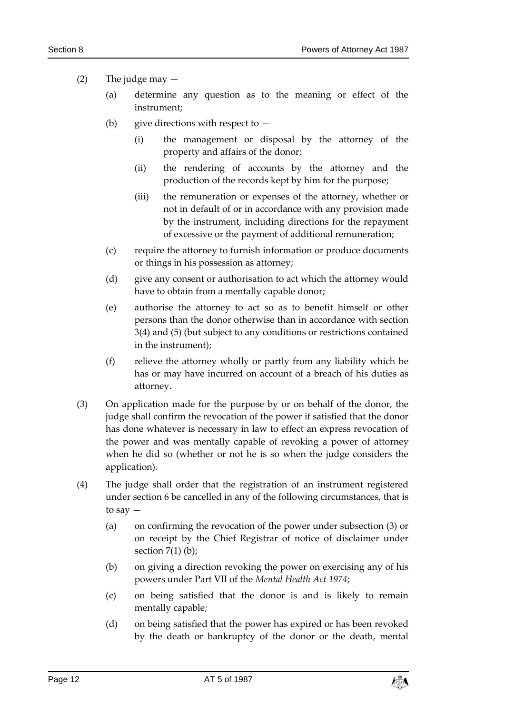#### (2) The judge may  $-$

- (a) determine any question as to the meaning or effect of the instrument;
- (b) give directions with respect to  $-$ 
	- (i) the management or disposal by the attorney of the property and affairs of the donor;
	- (ii) the rendering of accounts by the attorney and the production of the records kept by him for the purpose;
	- (iii) the remuneration or expenses of the attorney, whether or not in default of or in accordance with any provision made by the instrument, including directions for the repayment of excessive or the payment of additional remuneration;
- (c) require the attorney to furnish information or produce documents or things in his possession as attorney;
- (d) give any consent or authorisation to act which the attorney would have to obtain from a mentally capable donor;
- (e) authorise the attorney to act so as to benefit himself or other persons than the donor otherwise than in accordance with section 3(4) and (5) (but subject to any conditions or restrictions contained in the instrument);
- (f) relieve the attorney wholly or partly from any liability which he has or may have incurred on account of a breach of his duties as attorney.
- (3) On application made for the purpose by or on behalf of the donor, the judge shall confirm the revocation of the power if satisfied that the donor has done whatever is necessary in law to effect an express revocation of the power and was mentally capable of revoking a power of attorney when he did so (whether or not he is so when the judge considers the application).
- (4) The judge shall order that the registration of an instrument registered under section 6 be cancelled in any of the following circumstances, that is to say —
	- (a) on confirming the revocation of the power under subsection (3) or on receipt by the Chief Registrar of notice of disclaimer under section  $7(1)$  (b);
	- (b) on giving a direction revoking the power on exercising any of his powers under Part VII of the *Mental Health Act 1974*;
	- (c) on being satisfied that the donor is and is likely to remain mentally capable;
	- (d) on being satisfied that the power has expired or has been revoked by the death or bankruptcy of the donor or the death, mental

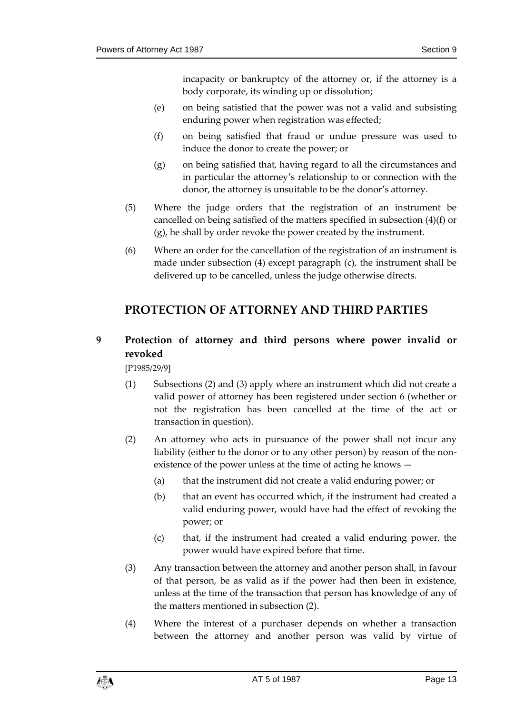incapacity or bankruptcy of the attorney or, if the attorney is a body corporate, its winding up or dissolution;

- (e) on being satisfied that the power was not a valid and subsisting enduring power when registration was effected;
- (f) on being satisfied that fraud or undue pressure was used to induce the donor to create the power; or
- (g) on being satisfied that, having regard to all the circumstances and in particular the attorney's relationship to or connection with the donor, the attorney is unsuitable to be the donor's attorney.
- (5) Where the judge orders that the registration of an instrument be cancelled on being satisfied of the matters specified in subsection (4)(f) or (g), he shall by order revoke the power created by the instrument.
- (6) Where an order for the cancellation of the registration of an instrument is made under subsection (4) except paragraph (c), the instrument shall be delivered up to be cancelled, unless the judge otherwise directs.

# <span id="page-12-0"></span>**PROTECTION OF ATTORNEY AND THIRD PARTIES**

# <span id="page-12-1"></span>**9 Protection of attorney and third persons where power invalid or revoked**

[P1985/29/9]

- (1) Subsections (2) and (3) apply where an instrument which did not create a valid power of attorney has been registered under section 6 (whether or not the registration has been cancelled at the time of the act or transaction in question).
- (2) An attorney who acts in pursuance of the power shall not incur any liability (either to the donor or to any other person) by reason of the nonexistence of the power unless at the time of acting he knows —
	- (a) that the instrument did not create a valid enduring power; or
	- (b) that an event has occurred which, if the instrument had created a valid enduring power, would have had the effect of revoking the power; or
	- (c) that, if the instrument had created a valid enduring power, the power would have expired before that time.
- (3) Any transaction between the attorney and another person shall, in favour of that person, be as valid as if the power had then been in existence, unless at the time of the transaction that person has knowledge of any of the matters mentioned in subsection (2).
- (4) Where the interest of a purchaser depends on whether a transaction between the attorney and another person was valid by virtue of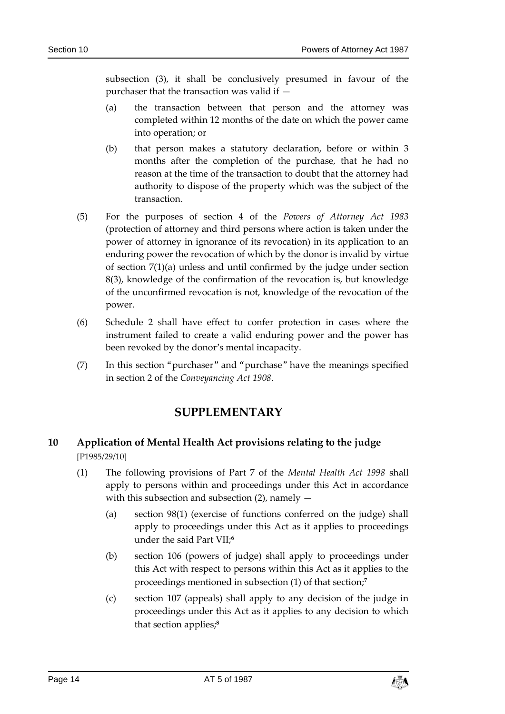subsection (3), it shall be conclusively presumed in favour of the purchaser that the transaction was valid if —

- (a) the transaction between that person and the attorney was completed within 12 months of the date on which the power came into operation; or
- (b) that person makes a statutory declaration, before or within 3 months after the completion of the purchase, that he had no reason at the time of the transaction to doubt that the attorney had authority to dispose of the property which was the subject of the transaction.
- (5) For the purposes of section 4 of the *Powers of Attorney Act 1983* (protection of attorney and third persons where action is taken under the power of attorney in ignorance of its revocation) in its application to an enduring power the revocation of which by the donor is invalid by virtue of section 7(1)(a) unless and until confirmed by the judge under section 8(3), knowledge of the confirmation of the revocation is, but knowledge of the unconfirmed revocation is not, knowledge of the revocation of the power.
- (6) Schedule 2 shall have effect to confer protection in cases where the instrument failed to create a valid enduring power and the power has been revoked by the donor's mental incapacity.
- <span id="page-13-0"></span>(7) In this section "purchaser" and "purchase" have the meanings specified in section 2 of the *Conveyancing Act 1908*.

## **SUPPLEMENTARY**

## <span id="page-13-1"></span>**10 Application of Mental Health Act provisions relating to the judge** [P1985/29/10]

- (1) The following provisions of Part 7 of the *Mental Health Act 1998* shall apply to persons within and proceedings under this Act in accordance with this subsection and subsection  $(2)$ , namely  $-$ 
	- (a) section 98(1) (exercise of functions conferred on the judge) shall apply to proceedings under this Act as it applies to proceedings under the said Part VII;**<sup>6</sup>**
	- (b) section 106 (powers of judge) shall apply to proceedings under this Act with respect to persons within this Act as it applies to the proceedings mentioned in subsection (1) of that section;**<sup>7</sup>**
	- (c) section 107 (appeals) shall apply to any decision of the judge in proceedings under this Act as it applies to any decision to which that section applies;**8**

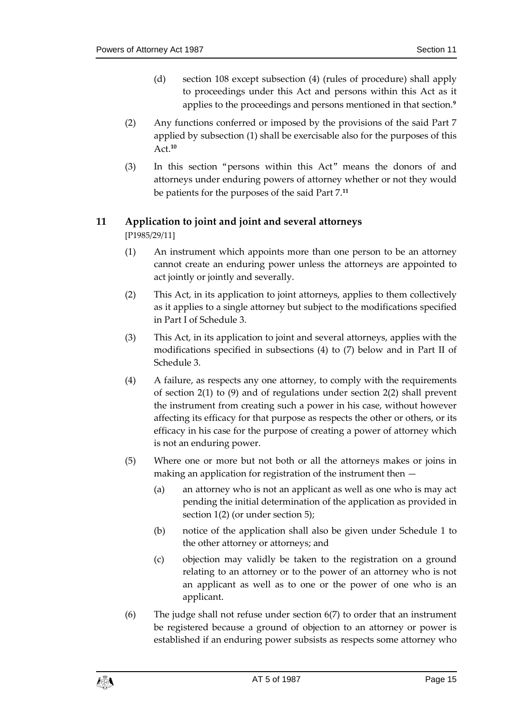- (d) section 108 except subsection (4) (rules of procedure) shall apply to proceedings under this Act and persons within this Act as it applies to the proceedings and persons mentioned in that section.**<sup>9</sup>**
- (2) Any functions conferred or imposed by the provisions of the said Part 7 applied by subsection (1) shall be exercisable also for the purposes of this Act.**<sup>10</sup>**
- (3) In this section "persons within this Act" means the donors of and attorneys under enduring powers of attorney whether or not they would be patients for the purposes of the said Part 7.**<sup>11</sup>**

#### <span id="page-14-0"></span>**11 Application to joint and joint and several attorneys**

[P1985/29/11]

- (1) An instrument which appoints more than one person to be an attorney cannot create an enduring power unless the attorneys are appointed to act jointly or jointly and severally.
- (2) This Act, in its application to joint attorneys, applies to them collectively as it applies to a single attorney but subject to the modifications specified in Part I of Schedule 3.
- (3) This Act, in its application to joint and several attorneys, applies with the modifications specified in subsections (4) to (7) below and in Part II of Schedule 3.
- (4) A failure, as respects any one attorney, to comply with the requirements of section 2(1) to (9) and of regulations under section 2(2) shall prevent the instrument from creating such a power in his case, without however affecting its efficacy for that purpose as respects the other or others, or its efficacy in his case for the purpose of creating a power of attorney which is not an enduring power.
- (5) Where one or more but not both or all the attorneys makes or joins in making an application for registration of the instrument then —
	- (a) an attorney who is not an applicant as well as one who is may act pending the initial determination of the application as provided in section 1(2) (or under section 5);
	- (b) notice of the application shall also be given under Schedule 1 to the other attorney or attorneys; and
	- (c) objection may validly be taken to the registration on a ground relating to an attorney or to the power of an attorney who is not an applicant as well as to one or the power of one who is an applicant.
- (6) The judge shall not refuse under section 6(7) to order that an instrument be registered because a ground of objection to an attorney or power is established if an enduring power subsists as respects some attorney who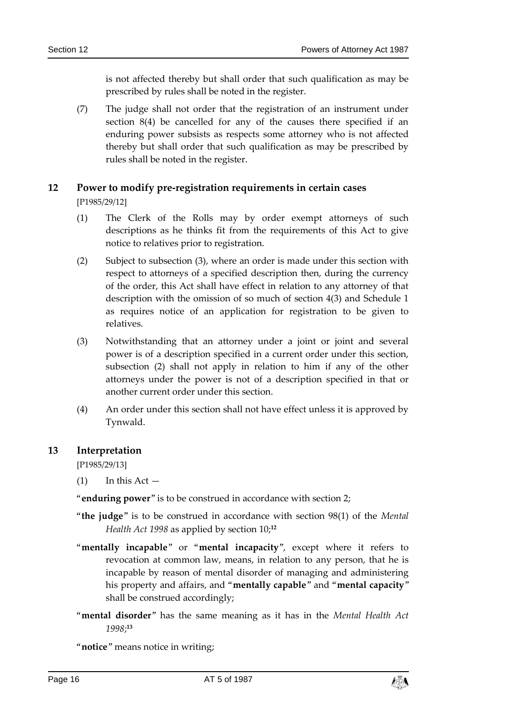is not affected thereby but shall order that such qualification as may be prescribed by rules shall be noted in the register.

(7) The judge shall not order that the registration of an instrument under section 8(4) be cancelled for any of the causes there specified if an enduring power subsists as respects some attorney who is not affected thereby but shall order that such qualification as may be prescribed by rules shall be noted in the register.

# <span id="page-15-0"></span>**12 Power to modify pre-registration requirements in certain cases**

[P1985/29/12]

- (1) The Clerk of the Rolls may by order exempt attorneys of such descriptions as he thinks fit from the requirements of this Act to give notice to relatives prior to registration.
- (2) Subject to subsection (3), where an order is made under this section with respect to attorneys of a specified description then, during the currency of the order, this Act shall have effect in relation to any attorney of that description with the omission of so much of section 4(3) and Schedule 1 as requires notice of an application for registration to be given to relatives.
- (3) Notwithstanding that an attorney under a joint or joint and several power is of a description specified in a current order under this section, subsection (2) shall not apply in relation to him if any of the other attorneys under the power is not of a description specified in that or another current order under this section.
- (4) An order under this section shall not have effect unless it is approved by Tynwald.

#### <span id="page-15-1"></span>**13 Interpretation**

[P1985/29/13]

 $(1)$  In this Act —

"**enduring power**" is to be construed in accordance with section 2;

- "**the judge**" is to be construed in accordance with section 98(1) of the *Mental Health Act 1998* as applied by section 10;**<sup>12</sup>**
- "**mentally incapable**" or "**mental incapacity**", except where it refers to revocation at common law, means, in relation to any person, that he is incapable by reason of mental disorder of managing and administering his property and affairs, and "**mentally capable**" and "**mental capacity**" shall be construed accordingly;
- "**mental disorder**" has the same meaning as it has in the *Mental Health Act 1998*; **13**

"**notice**" means notice in writing;

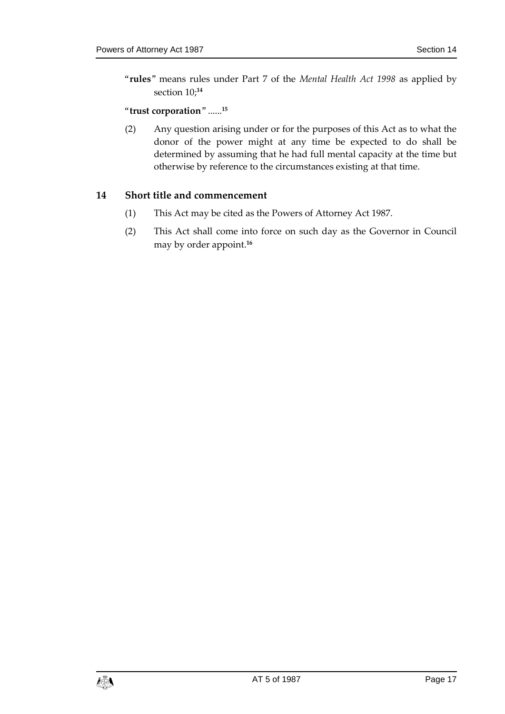"**rules**" means rules under Part 7 of the *Mental Health Act 1998* as applied by section 10;**<sup>14</sup>**

#### "**trust corporation**" ......**<sup>15</sup>**

(2) Any question arising under or for the purposes of this Act as to what the donor of the power might at any time be expected to do shall be determined by assuming that he had full mental capacity at the time but otherwise by reference to the circumstances existing at that time.

#### <span id="page-16-0"></span>**14 Short title and commencement**

- (1) This Act may be cited as the Powers of Attorney Act 1987.
- (2) This Act shall come into force on such day as the Governor in Council may by order appoint.**16**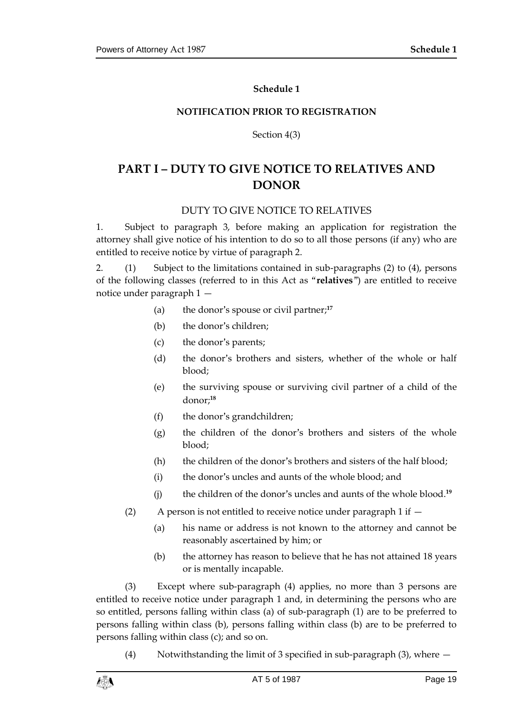#### **Schedule 1**

#### <span id="page-18-0"></span>**NOTIFICATION PRIOR TO REGISTRATION**

Section 4(3)

# <span id="page-18-1"></span>**PART I – DUTY TO GIVE NOTICE TO RELATIVES AND DONOR**

#### DUTY TO GIVE NOTICE TO RELATIVES

1. Subject to paragraph 3, before making an application for registration the attorney shall give notice of his intention to do so to all those persons (if any) who are entitled to receive notice by virtue of paragraph 2.

2. (1) Subject to the limitations contained in sub-paragraphs (2) to (4), persons of the following classes (referred to in this Act as "**relatives**") are entitled to receive notice under paragraph 1 —

- (a) the donor's spouse or civil partner;**<sup>17</sup>**
- (b) the donor's children;
- (c) the donor's parents;
- (d) the donor's brothers and sisters, whether of the whole or half blood;
- (e) the surviving spouse or surviving civil partner of a child of the donor;**<sup>18</sup>**
- (f) the donor's grandchildren;
- (g) the children of the donor's brothers and sisters of the whole blood;
- (h) the children of the donor's brothers and sisters of the half blood;
- (i) the donor's uncles and aunts of the whole blood; and
- (j) the children of the donor's uncles and aunts of the whole blood.**<sup>19</sup>**
- (2) A person is not entitled to receive notice under paragraph 1 if
	- (a) his name or address is not known to the attorney and cannot be reasonably ascertained by him; or
	- (b) the attorney has reason to believe that he has not attained 18 years or is mentally incapable.

(3) Except where sub-paragraph (4) applies, no more than 3 persons are entitled to receive notice under paragraph 1 and, in determining the persons who are so entitled, persons falling within class (a) of sub-paragraph (1) are to be preferred to persons falling within class (b), persons falling within class (b) are to be preferred to persons falling within class (c); and so on.

(4) Notwithstanding the limit of 3 specified in sub-paragraph (3), where —

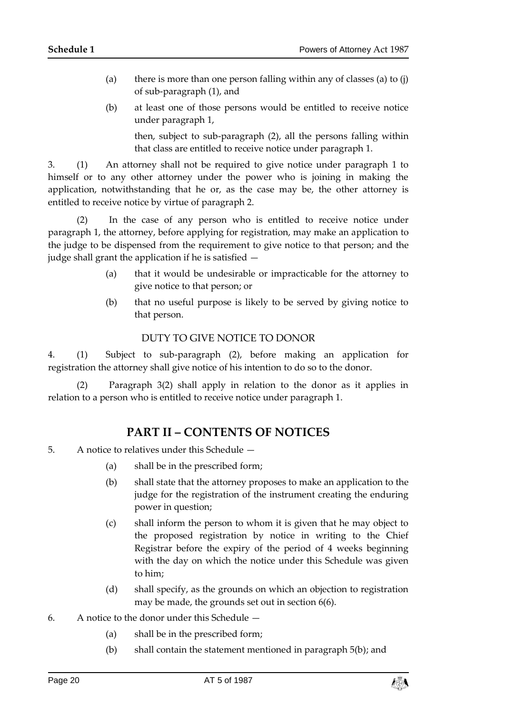- (a) there is more than one person falling within any of classes (a) to  $(i)$ of sub-paragraph (1), and
- (b) at least one of those persons would be entitled to receive notice under paragraph 1,

then, subject to sub-paragraph (2), all the persons falling within that class are entitled to receive notice under paragraph 1.

3. (1) An attorney shall not be required to give notice under paragraph 1 to himself or to any other attorney under the power who is joining in making the application, notwithstanding that he or, as the case may be, the other attorney is entitled to receive notice by virtue of paragraph 2.

(2) In the case of any person who is entitled to receive notice under paragraph 1, the attorney, before applying for registration, may make an application to the judge to be dispensed from the requirement to give notice to that person; and the judge shall grant the application if he is satisfied —

- (a) that it would be undesirable or impracticable for the attorney to give notice to that person; or
- (b) that no useful purpose is likely to be served by giving notice to that person.

#### DUTY TO GIVE NOTICE TO DONOR

4. (1) Subject to sub-paragraph (2), before making an application for registration the attorney shall give notice of his intention to do so to the donor.

(2) Paragraph 3(2) shall apply in relation to the donor as it applies in relation to a person who is entitled to receive notice under paragraph 1.

## **PART II – CONTENTS OF NOTICES**

- 5. A notice to relatives under this Schedule
	- (a) shall be in the prescribed form;
	- (b) shall state that the attorney proposes to make an application to the judge for the registration of the instrument creating the enduring power in question;
	- (c) shall inform the person to whom it is given that he may object to the proposed registration by notice in writing to the Chief Registrar before the expiry of the period of 4 weeks beginning with the day on which the notice under this Schedule was given to him;
	- (d) shall specify, as the grounds on which an objection to registration may be made, the grounds set out in section 6(6).
- 6. A notice to the donor under this Schedule
	- (a) shall be in the prescribed form;
	- (b) shall contain the statement mentioned in paragraph 5(b); and

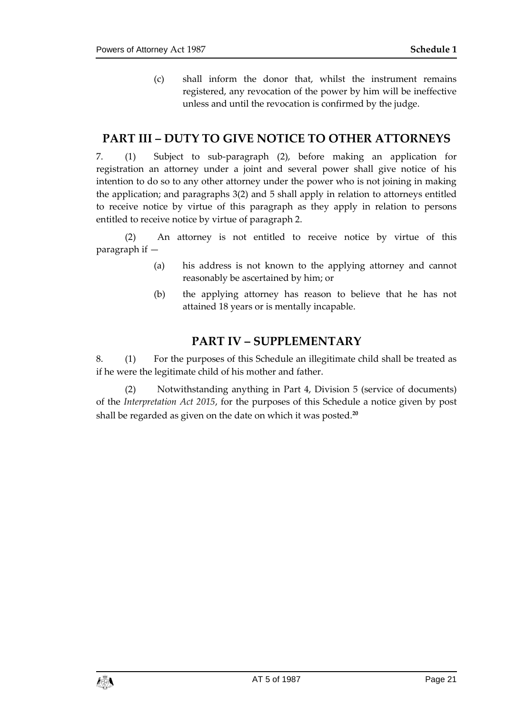(c) shall inform the donor that, whilst the instrument remains registered, any revocation of the power by him will be ineffective unless and until the revocation is confirmed by the judge.

## **PART III – DUTY TO GIVE NOTICE TO OTHER ATTORNEYS**

7. (1) Subject to sub-paragraph (2), before making an application for registration an attorney under a joint and several power shall give notice of his intention to do so to any other attorney under the power who is not joining in making the application; and paragraphs 3(2) and 5 shall apply in relation to attorneys entitled to receive notice by virtue of this paragraph as they apply in relation to persons entitled to receive notice by virtue of paragraph 2.

(2) An attorney is not entitled to receive notice by virtue of this paragraph if —

- (a) his address is not known to the applying attorney and cannot reasonably be ascertained by him; or
- (b) the applying attorney has reason to believe that he has not attained 18 years or is mentally incapable.

#### **PART IV – SUPPLEMENTARY**

8. (1) For the purposes of this Schedule an illegitimate child shall be treated as if he were the legitimate child of his mother and father.

(2) Notwithstanding anything in Part 4, Division 5 (service of documents) of the *Interpretation Act 2015*, for the purposes of this Schedule a notice given by post shall be regarded as given on the date on which it was posted.**20**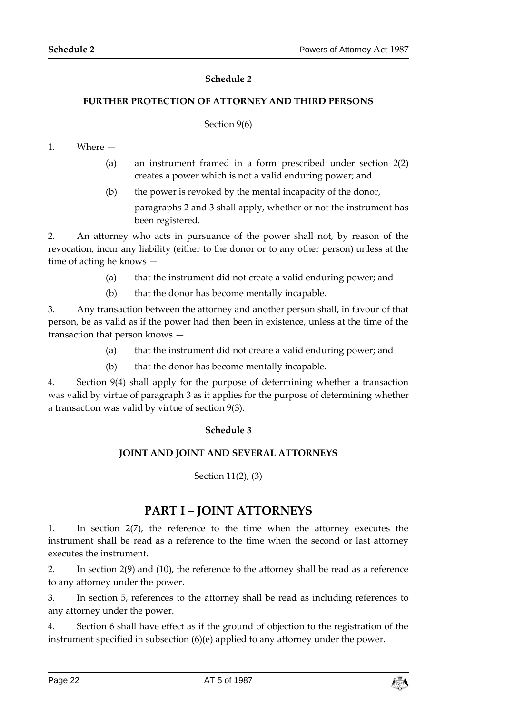#### **Schedule 2**

#### <span id="page-21-1"></span><span id="page-21-0"></span>**FURTHER PROTECTION OF ATTORNEY AND THIRD PERSONS**

#### Section 9(6)

#### 1. Where —

- (a) an instrument framed in a form prescribed under section 2(2) creates a power which is not a valid enduring power; and
- (b) the power is revoked by the mental incapacity of the donor,

paragraphs 2 and 3 shall apply, whether or not the instrument has been registered.

2. An attorney who acts in pursuance of the power shall not, by reason of the revocation, incur any liability (either to the donor or to any other person) unless at the time of acting he knows —

- (a) that the instrument did not create a valid enduring power; and
- (b) that the donor has become mentally incapable.

3. Any transaction between the attorney and another person shall, in favour of that person, be as valid as if the power had then been in existence, unless at the time of the transaction that person knows —

- (a) that the instrument did not create a valid enduring power; and
- (b) that the donor has become mentally incapable.

<span id="page-21-3"></span><span id="page-21-2"></span>4. Section 9(4) shall apply for the purpose of determining whether a transaction was valid by virtue of paragraph 3 as it applies for the purpose of determining whether a transaction was valid by virtue of section 9(3).

#### **Schedule 3**

#### **JOINT AND JOINT AND SEVERAL ATTORNEYS**

#### Section 11(2), (3)

## **PART I – JOINT ATTORNEYS**

1. In section 2(7), the reference to the time when the attorney executes the instrument shall be read as a reference to the time when the second or last attorney executes the instrument.

2. In section 2(9) and (10), the reference to the attorney shall be read as a reference to any attorney under the power.

3. In section 5, references to the attorney shall be read as including references to any attorney under the power.

4. Section 6 shall have effect as if the ground of objection to the registration of the instrument specified in subsection (6)(e) applied to any attorney under the power.

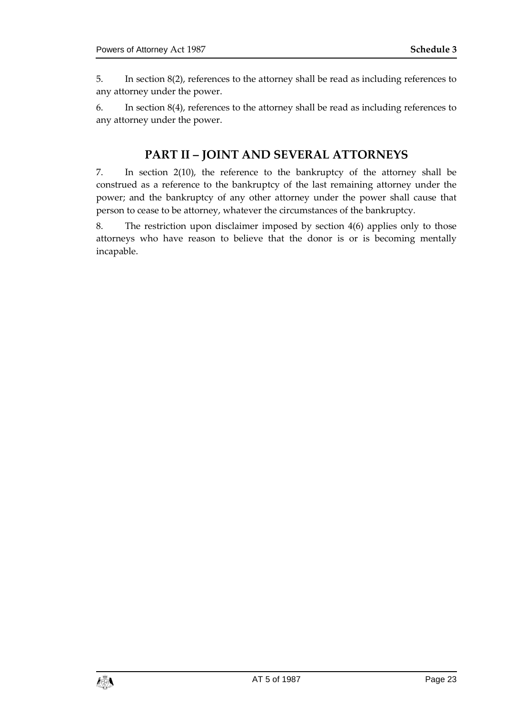5. In section 8(2), references to the attorney shall be read as including references to any attorney under the power.

6. In section 8(4), references to the attorney shall be read as including references to any attorney under the power.

## **PART II – JOINT AND SEVERAL ATTORNEYS**

7. In section 2(10), the reference to the bankruptcy of the attorney shall be construed as a reference to the bankruptcy of the last remaining attorney under the power; and the bankruptcy of any other attorney under the power shall cause that person to cease to be attorney, whatever the circumstances of the bankruptcy.

8. The restriction upon disclaimer imposed by section 4(6) applies only to those attorneys who have reason to believe that the donor is or is becoming mentally incapable.

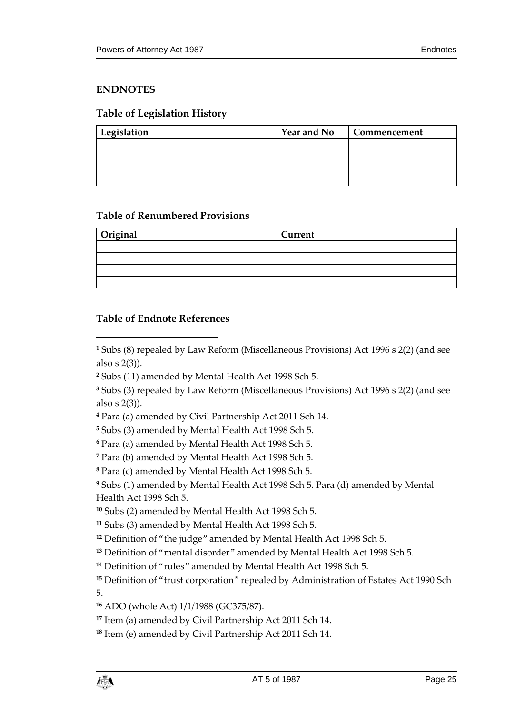#### <span id="page-24-0"></span>**ENDNOTES**

#### <span id="page-24-1"></span>**Table of Legislation History**

| Legislation | <b>Year and No</b> | Commencement |
|-------------|--------------------|--------------|
|             |                    |              |
|             |                    |              |
|             |                    |              |
|             |                    |              |

#### <span id="page-24-2"></span>**Table of Renumbered Provisions**

| Original | Current |
|----------|---------|
|          |         |
|          |         |
|          |         |
|          |         |

#### <span id="page-24-3"></span>**Table of Endnote References**

 $\overline{a}$ 

**<sup>1</sup>** Subs (8) repealed by Law Reform (Miscellaneous Provisions) Act 1996 s 2(2) (and see also s 2(3)).

**<sup>4</sup>** Para (a) amended by Civil Partnership Act 2011 Sch 14.

**<sup>5</sup>** Subs (3) amended by Mental Health Act 1998 Sch 5.

**<sup>6</sup>** Para (a) amended by Mental Health Act 1998 Sch 5.

**<sup>7</sup>** Para (b) amended by Mental Health Act 1998 Sch 5.

**<sup>8</sup>** Para (c) amended by Mental Health Act 1998 Sch 5.

**<sup>9</sup>** Subs (1) amended by Mental Health Act 1998 Sch 5. Para (d) amended by Mental Health Act 1998 Sch 5.

**<sup>10</sup>** Subs (2) amended by Mental Health Act 1998 Sch 5.

**<sup>11</sup>** Subs (3) amended by Mental Health Act 1998 Sch 5.

**<sup>12</sup>** Definition of "the judge" amended by Mental Health Act 1998 Sch 5.

**<sup>13</sup>** Definition of "mental disorder" amended by Mental Health Act 1998 Sch 5.

**<sup>14</sup>** Definition of "rules" amended by Mental Health Act 1998 Sch 5.

**<sup>15</sup>** Definition of "trust corporation" repealed by Administration of Estates Act 1990 Sch 5.

**<sup>16</sup>** ADO (whole Act) 1/1/1988 (GC375/87).

**<sup>17</sup>** Item (a) amended by Civil Partnership Act 2011 Sch 14.

**<sup>18</sup>** Item (e) amended by Civil Partnership Act 2011 Sch 14.



**<sup>2</sup>** Subs (11) amended by Mental Health Act 1998 Sch 5.

**<sup>3</sup>** Subs (3) repealed by Law Reform (Miscellaneous Provisions) Act 1996 s 2(2) (and see also s 2(3)).